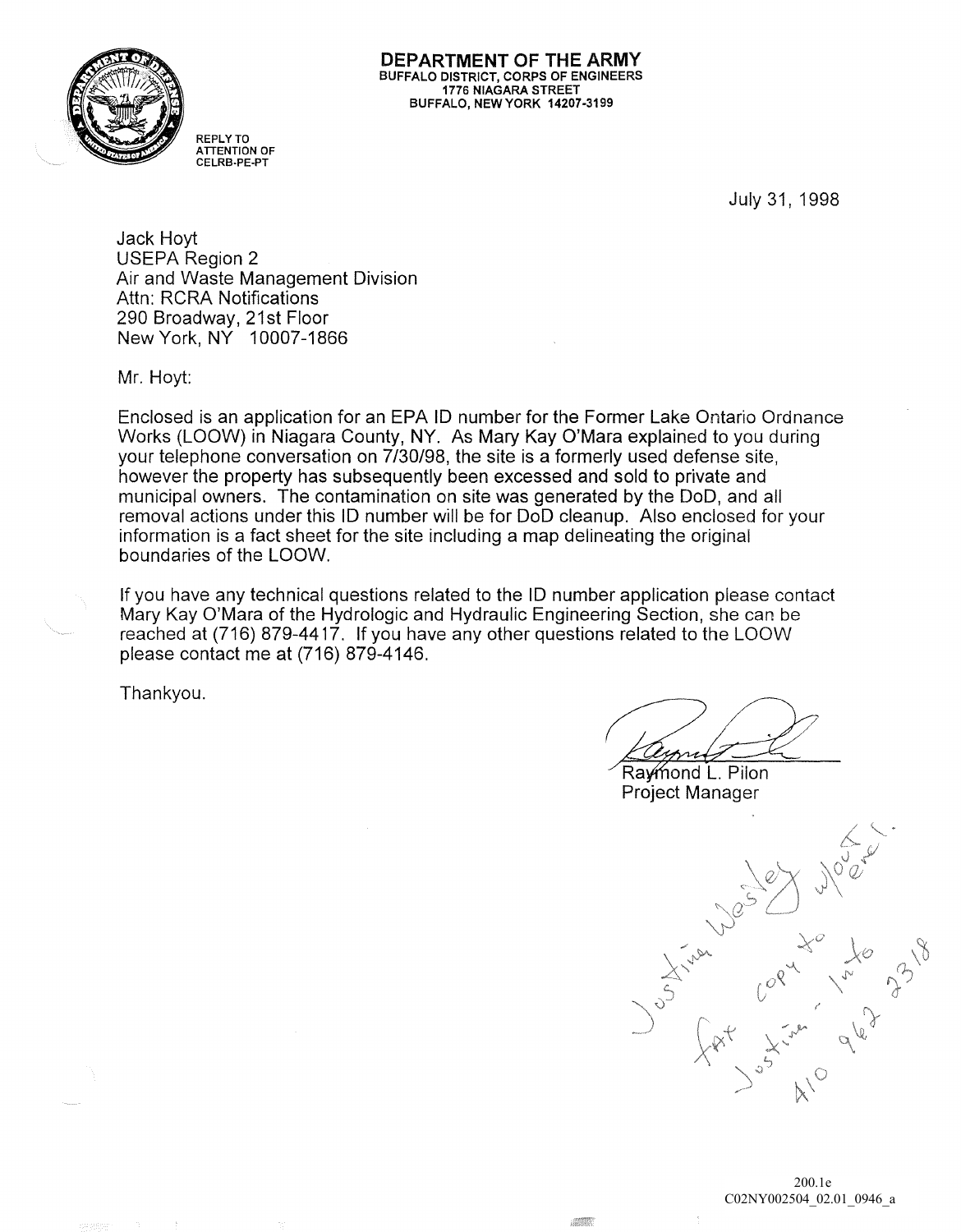

**DEPARTMENT OF** THE **ARMY**  BUFFALO DISTRICT, CORPS OF ENGINEERS 1776 NIAGARA STREET BUFFALO, NEW YORK 14207-3199

July 31, 1998

Jack Hoyt USEPA Region 2 Air and Waste Management Division Attn: RCRA Notifications 290 Broadway, 21st Floor New York, NY 10007 -1866

REPLY TO ATTENTION OF CELRB-PE-PT

Mr. Hoyt:

Enclosed is an application for an EPA 10 number for the Former Lake Ontario Ordnance Works (LOOW) in Niagara County, NY. As Mary Kay O'Mara explained to you during your telephone conversation on 7/30/98, the site is a formerly used defense site, however the property has subsequently been excessed and sold to private and municipal owners. The contamination on site was generated by the DoD, and all removal actions under this 10 number will be for 000 cleanup. Also enclosed for your information is a fact sheet for the site including a map delineating the original boundaries of the LOOW.

If you have any technical questions related to the 10 number application please contact Mary Kay O'Mara of the Hydrologic and Hydraulic Engineering Section, she can be reached at (716) 879-4417. If you have any other questions related to the LOOW please contact me at (716) 879-4146.

Thankyou.

Raymond L. Pilon Project Manager

Joseph Limited March 3318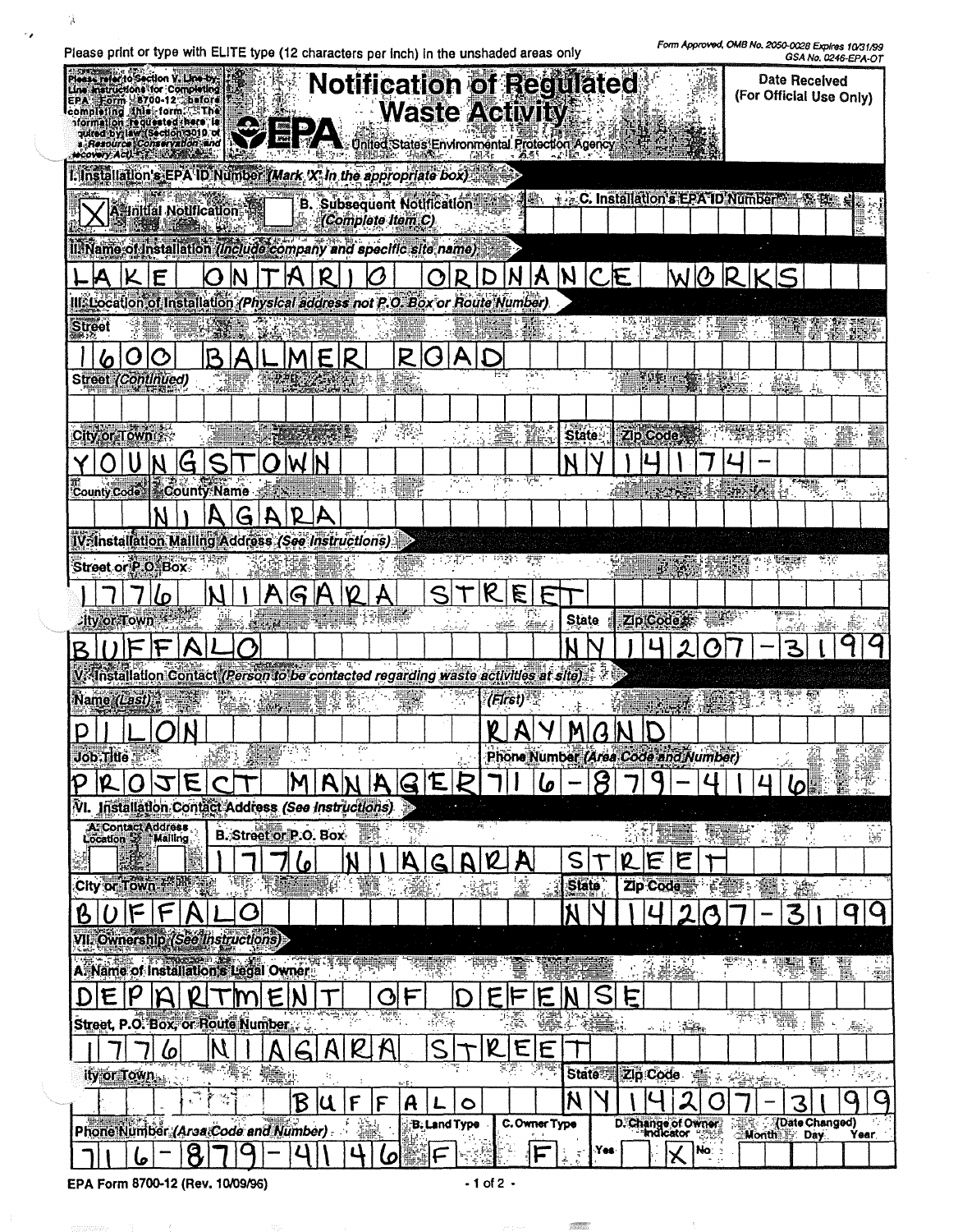Please print or type with ELITE type (12 characters per inch) in the unshaded areas only

 $\hat{\mathbf{A}}$ 

 $\sim$   $\epsilon$ 

*Form* ApproYIXI. OMS *No. 2050-0028* ExpIres *10131199* 

|               | Please relatio Section V. Line by<br>Line Instructions for Completing<br>Form 8700-12 before<br>completing Anis-form. EThe<br>nformation requested here is<br>quired by law (Section 3010 of<br>a Resource Conservation and<br><b>MCOVERY ACUTERY LUBINARY</b> |    |   |                      |                              |     |                                       |   |   |                   |                         |                                   |           | <b>Notification of Regulated</b><br><b>Waste Activity</b><br>United States Environmental Protection Agency |              |               |                      |              |    |          |                           |                                        |           |   |                 | 00A 110. 0240-CPA-U<br><b>Date Received</b><br>(For Official Use Only) |                                       |                                                                           |
|---------------|----------------------------------------------------------------------------------------------------------------------------------------------------------------------------------------------------------------------------------------------------------------|----|---|----------------------|------------------------------|-----|---------------------------------------|---|---|-------------------|-------------------------|-----------------------------------|-----------|------------------------------------------------------------------------------------------------------------|--------------|---------------|----------------------|--------------|----|----------|---------------------------|----------------------------------------|-----------|---|-----------------|------------------------------------------------------------------------|---------------------------------------|---------------------------------------------------------------------------|
|               | I. Installation's EPA ID Number (Mark 'X' in the appropriate box)                                                                                                                                                                                              |    |   |                      |                              |     |                                       |   |   |                   |                         |                                   |           |                                                                                                            |              |               |                      |              |    |          |                           |                                        |           |   |                 |                                                                        |                                       |                                                                           |
|               | A Initial Notification                                                                                                                                                                                                                                         |    |   |                      |                              |     |                                       |   |   | (Complete Item C) |                         | <b>B. Subsequent Notification</b> |           |                                                                                                            |              | Kh.           |                      |              |    |          |                           | <b>C. Installation's EPA ID Number</b> |           |   |                 |                                                                        |                                       |                                                                           |
|               | ll. Name of Installation (Include company and specific site name)                                                                                                                                                                                              |    |   |                      |                              |     |                                       |   |   |                   |                         |                                   |           |                                                                                                            |              |               |                      |              |    |          |                           |                                        |           |   |                 |                                                                        |                                       |                                                                           |
|               |                                                                                                                                                                                                                                                                | E  |   |                      |                              |     |                                       |   |   |                   |                         |                                   |           |                                                                                                            |              |               |                      |              |    |          |                           | $ANCE$ WORKS                           |           |   |                 |                                                                        |                                       |                                                                           |
|               | III. Location of Installation (Physical address not P.O. Box or Route Number)                                                                                                                                                                                  |    |   |                      |                              |     |                                       |   |   |                   |                         |                                   |           |                                                                                                            |              |               |                      |              |    |          |                           |                                        |           |   |                 |                                                                        |                                       |                                                                           |
| <b>Street</b> |                                                                                                                                                                                                                                                                |    |   |                      |                              |     |                                       |   |   |                   |                         |                                   |           |                                                                                                            |              |               |                      |              |    |          |                           |                                        |           |   |                 |                                                                        |                                       |                                                                           |
|               |                                                                                                                                                                                                                                                                |    |   | B                    |                              |     | ALMER                                 |   |   |                   | R                       |                                   | A         |                                                                                                            |              |               |                      |              |    |          |                           |                                        |           |   |                 |                                                                        |                                       |                                                                           |
|               | <b>Street (Continued)</b>                                                                                                                                                                                                                                      |    |   |                      |                              |     |                                       |   |   |                   |                         |                                   |           |                                                                                                            |              | 1 a 1         |                      |              |    |          |                           | VORI TYRK STRUG                        |           |   | A               |                                                                        | Ų                                     | t,                                                                        |
|               |                                                                                                                                                                                                                                                                |    |   |                      |                              |     |                                       |   |   |                   |                         |                                   |           |                                                                                                            |              |               |                      |              |    |          |                           |                                        |           |   |                 |                                                                        |                                       |                                                                           |
|               | City or Town                                                                                                                                                                                                                                                   |    |   |                      |                              |     |                                       |   |   |                   |                         |                                   |           |                                                                                                            |              | Ït            | <b>State</b>         |              |    |          |                           | Zip Code , All The Self                |           |   |                 |                                                                        |                                       |                                                                           |
|               |                                                                                                                                                                                                                                                                |    | Ġ | <u>S</u>             |                              |     | IW.                                   |   |   |                   | 83                      |                                   |           |                                                                                                            | ਼ਿ#⊾ ਸ਼ਾਵ    |               |                      |              |    |          |                           |                                        |           |   |                 |                                                                        |                                       |                                                                           |
|               | County Code County Name                                                                                                                                                                                                                                        |    |   |                      |                              |     |                                       |   |   |                   | en e                    |                                   |           |                                                                                                            |              |               |                      |              |    |          |                           | <b>Krystille Starter (1988)</b>        |           |   |                 |                                                                        |                                       |                                                                           |
|               |                                                                                                                                                                                                                                                                |    |   |                      |                              |     | D                                     |   |   |                   |                         |                                   |           |                                                                                                            |              |               |                      |              |    |          |                           |                                        |           |   |                 |                                                                        |                                       |                                                                           |
|               | IV Installation Mailing Address (See Instructions)<br>Street or P.O. Box                                                                                                                                                                                       |    |   |                      |                              |     |                                       |   |   |                   |                         |                                   |           |                                                                                                            |              |               |                      |              |    |          |                           |                                        |           |   |                 |                                                                        |                                       |                                                                           |
|               |                                                                                                                                                                                                                                                                |    |   |                      |                              |     |                                       |   |   |                   |                         |                                   |           |                                                                                                            | E            |               |                      |              |    |          |                           |                                        |           |   |                 |                                                                        |                                       |                                                                           |
|               | ity or Town                                                                                                                                                                                                                                                    | ιo |   |                      |                              | 上湖面 |                                       |   |   |                   |                         |                                   |           |                                                                                                            |              | T.<br>⊈er     | <b>State</b>         |              |    |          | <b>ZipiCode:</b>          | ا تعبير                                |           |   | agegas. p       |                                                                        |                                       |                                                                           |
|               |                                                                                                                                                                                                                                                                |    |   |                      | <b>BERGER AND STRAUGHTER</b> |     |                                       |   |   |                   |                         |                                   |           |                                                                                                            | SALE.        |               |                      |              |    |          |                           |                                        |           |   | adh             | $-1$                                                                   |                                       |                                                                           |
|               | V. Installation Contact (Person to be contacted regarding waste activities at site)                                                                                                                                                                            |    |   |                      |                              |     |                                       |   |   |                   |                         |                                   |           |                                                                                                            |              |               |                      |              |    |          |                           |                                        |           |   |                 |                                                                        |                                       |                                                                           |
|               | Name (Last)                                                                                                                                                                                                                                                    |    |   |                      |                              |     | til 107. Lin                          |   |   |                   |                         |                                   |           |                                                                                                            | (First)      |               |                      |              |    |          |                           |                                        |           |   |                 |                                                                        |                                       |                                                                           |
|               |                                                                                                                                                                                                                                                                |    |   |                      |                              |     |                                       |   |   |                   |                         |                                   |           |                                                                                                            |              |               |                      |              |    |          | 14. 新华在北京 石柴              |                                        |           |   |                 |                                                                        | -94                                   | 庄里                                                                        |
|               | $\text{Job}.\text{THE} \rightarrow$                                                                                                                                                                                                                            |    |   | R≇t :<br>$AB = 35.5$ |                              |     | ATTES<br>$\mathcal{A}_\mathbf{a}$ and |   |   |                   |                         |                                   |           |                                                                                                            |              |               |                      |              |    |          |                           | Phone Number (Area Code and Number)    |           |   |                 |                                                                        |                                       |                                                                           |
|               |                                                                                                                                                                                                                                                                |    |   |                      |                              |     |                                       |   |   |                   |                         | F                                 |           |                                                                                                            |              | 6             |                      |              |    |          |                           |                                        |           |   | Ω               |                                                                        |                                       |                                                                           |
|               | VI. Installation Contact Address (See Instructions)                                                                                                                                                                                                            |    |   |                      |                              |     |                                       |   |   |                   | œ                       |                                   |           |                                                                                                            |              |               |                      |              |    |          |                           |                                        |           |   |                 |                                                                        |                                       |                                                                           |
|               | A: Contact Address<br>Location 52 Mailing                                                                                                                                                                                                                      |    |   |                      |                              |     | <b>B.</b> Street or P.O. Box-         |   |   | F.                | $\mathbb{R}^n$ .<br>Js. |                                   |           | m,                                                                                                         |              |               |                      |              | 活想 |          |                           |                                        | <b>大学</b> |   |                 | Ÿ                                                                      |                                       | Ŵ                                                                         |
|               |                                                                                                                                                                                                                                                                |    |   |                      |                              |     | <u>ما</u>                             |   |   |                   | A                       |                                   |           |                                                                                                            |              |               | S                    |              |    | E        |                           |                                        |           |   |                 |                                                                        |                                       |                                                                           |
|               | City or Town Helling                                                                                                                                                                                                                                           |    |   |                      |                              |     | <b>ASSESSMENT</b>                     |   |   | 饕<br>R.           | 高能                      |                                   |           | $-35.1$                                                                                                    | 瀣            |               | <b>State</b>         |              |    | Zip Code |                           |                                        | Fest:     | 獵 | $\dot{z}$ and   |                                                                        | 71<br>العادي                          |                                                                           |
|               | F                                                                                                                                                                                                                                                              |    |   |                      | Ô                            |     |                                       |   |   |                   |                         |                                   |           |                                                                                                            |              |               |                      |              |    |          |                           |                                        |           |   | 3               |                                                                        | q                                     |                                                                           |
|               | VII. Ownership (See linstructions)                                                                                                                                                                                                                             |    |   |                      |                              |     |                                       |   |   |                   |                         |                                   |           |                                                                                                            |              |               |                      |              |    |          |                           |                                        |           |   |                 |                                                                        |                                       |                                                                           |
|               | A Name of Installation's Legal Owner                                                                                                                                                                                                                           |    |   |                      |                              |     |                                       |   |   |                   |                         | मार्क म                           |           |                                                                                                            |              |               |                      |              |    | -2       | <b>英容</b>                 |                                        | ⁄≝eng,    |   | $\pm$ 1.4 $\pm$ |                                                                        | Ī                                     | $\frac{1}{2}$                                                             |
|               |                                                                                                                                                                                                                                                                |    |   |                      |                              | E   |                                       |   |   | ſδ                |                         |                                   |           |                                                                                                            | EF           | 后             |                      | S            | É  |          |                           |                                        |           |   |                 |                                                                        |                                       |                                                                           |
|               | Street, P.O. Box, or Route Number                                                                                                                                                                                                                              |    |   |                      |                              |     |                                       |   |   | स्क्रि            |                         | क्तू<br>करिक                      |           |                                                                                                            | (美)<br>- (英) |               |                      |              |    |          | $\ldots$ . $\blacksquare$ |                                        |           |   | $\mathbb{R}_+$  | F<br>÷.                                                                | $\mathcal{A}_{\mathrm{B},\mathrm{a}}$ |                                                                           |
|               |                                                                                                                                                                                                                                                                | 6  |   |                      |                              |     |                                       |   |   |                   |                         |                                   |           | $\mathbf{\varrho}$                                                                                         | Ε<br>ΞŦ      | E<br>ਰਾਦਾ     |                      |              |    |          |                           |                                        |           |   |                 |                                                                        |                                       |                                                                           |
|               | ity or Town                                                                                                                                                                                                                                                    |    |   | 零 5鳥名                |                              | No. |                                       | ÷ |   |                   |                         |                                   |           |                                                                                                            |              |               |                      | <b>State</b> |    | Zip Code |                           | <b>18</b> : 台                          |           |   |                 |                                                                        |                                       | $\frac{1}{2} \frac{1}{2} \frac{1}{2} \frac{1}{2} \frac{1}{2} \frac{1}{2}$ |
|               |                                                                                                                                                                                                                                                                |    |   | $\mathcal{F}$<br>ಿಗೆ |                              |     | B                                     | K | F | $\mathsf F$       | A                       | <b>B. Land Type</b>               | $\bullet$ |                                                                                                            |              | C. Owner Type | N                    |              |    |          |                           |                                        |           |   | З               |                                                                        | Q                                     | Q                                                                         |
|               | Phone Number (Arsa Code and Number).                                                                                                                                                                                                                           |    |   |                      |                              |     |                                       |   |   | 壤                 |                         |                                   |           |                                                                                                            |              |               |                      | Yes:         |    |          | D. Change of Owner        | -582<br>No: :                          |           |   |                 | (Date Changed)<br>Month Day                                            |                                       | Year                                                                      |
|               |                                                                                                                                                                                                                                                                |    |   |                      |                              |     |                                       |   |   | Ø                 |                         |                                   |           |                                                                                                            |              |               | $\tilde{\mathbf{q}}$ |              |    |          | ✕                         | $\blacksquare$                         |           |   |                 |                                                                        |                                       |                                                                           |

 $\sim 1000$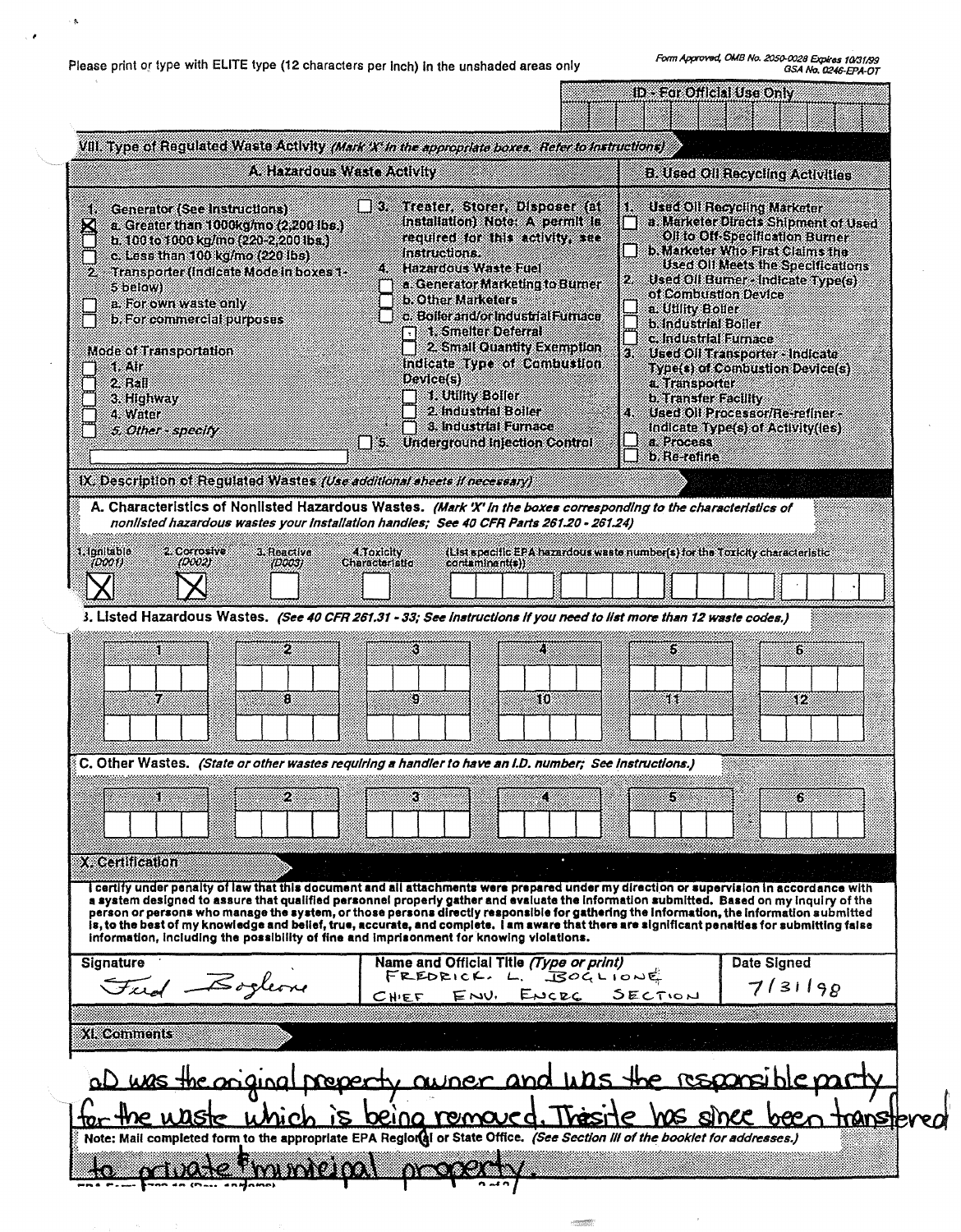Please print or type with ELITE type (12 characters per inch) in the unshaded areas only

i A

 $\sim$   $\epsilon$ 

|                                                                                                                                                                                                                                                                                                                                                                                                                                                                                                                                                                                                                                                                             |                                                                                                                                                                                                                                                                                                                                                                                                                                                                         | ID - For Official Use Only                                                                                                                                                  |                                                                                                                                                                                                                                                                                                                                                                       |                   |
|-----------------------------------------------------------------------------------------------------------------------------------------------------------------------------------------------------------------------------------------------------------------------------------------------------------------------------------------------------------------------------------------------------------------------------------------------------------------------------------------------------------------------------------------------------------------------------------------------------------------------------------------------------------------------------|-------------------------------------------------------------------------------------------------------------------------------------------------------------------------------------------------------------------------------------------------------------------------------------------------------------------------------------------------------------------------------------------------------------------------------------------------------------------------|-----------------------------------------------------------------------------------------------------------------------------------------------------------------------------|-----------------------------------------------------------------------------------------------------------------------------------------------------------------------------------------------------------------------------------------------------------------------------------------------------------------------------------------------------------------------|-------------------|
| VIII. Type of Requisied Waste Activity (Mark X in the appropriate boxes, Refer to Instructions)                                                                                                                                                                                                                                                                                                                                                                                                                                                                                                                                                                             |                                                                                                                                                                                                                                                                                                                                                                                                                                                                         |                                                                                                                                                                             |                                                                                                                                                                                                                                                                                                                                                                       |                   |
| A Hazardous Waste Activity                                                                                                                                                                                                                                                                                                                                                                                                                                                                                                                                                                                                                                                  |                                                                                                                                                                                                                                                                                                                                                                                                                                                                         |                                                                                                                                                                             | <b>B. Used Oil Recycling Activities</b>                                                                                                                                                                                                                                                                                                                               |                   |
| Generator (See Instructions)<br>á.<br>$\boxtimes$<br>a. Greater than 1000kg/mo (2,200 lbs.)<br>b. 100 to 1000 kg/mo (220-2.200 lbs.)<br>c. Less than 100 kg/mo (220 lbs)<br>Transporter (Indicate Mode in boxes 1-<br>5 below)<br>a. For own waste only<br>b. For commercial purposes<br>Mode of Transportation<br>1. Alf<br>2 Rail<br>3. Highway<br>4. Water<br>5. Other - specify<br>IX. Description of Regulated Wastes (Use additional sheets if necessary)                                                                                                                                                                                                             | $\Box$ 3 Treater, Storer Disposer (at<br>installation) Note: A permit is<br>required for this activity, see<br>instructions.<br>4. Hazardous Wasteratel<br>a Generator Marketing to Burner<br>b. Other Marketers<br>c. Boller and/or industrial Furnace<br>1. Smelter Deferral<br>2 Small Quantity Exemption<br>Indicate Type of Combustion<br>Device(s)<br>1. Utility Boller<br>2 Industrial Boller<br>3. Industrial Eurnace<br>$\Box$ 5 Underground Injection Control | of Combustion Device<br>a. Utility Boller<br>b Industrial Boiler<br>c. Industrial Eurnace<br>з.<br>a Transporter<br><b>b. Transfer Facility</b><br>a Process<br>b Re-refine | Used Oil Recycling Marketer<br>a. Marketer Directs Shipment of Used<br>Oil to Off-Specification Burner<br>b. Marketer Who First Claims the<br>Used Oil Meets the Specifications<br>2 Used Oil Burner - Indicate Type(s)<br>Used Oil Transporter - Indicate<br>Type(s) of Combustion Device(s)<br>Used Oil Processor/Re-refiner -<br>Indicate Type(s) of Activity(les) |                   |
| A. Characteristics of Nonlisted Hazardous Wastes. (Mark 'X' in the boxes corresponding to the characteristics of                                                                                                                                                                                                                                                                                                                                                                                                                                                                                                                                                            |                                                                                                                                                                                                                                                                                                                                                                                                                                                                         |                                                                                                                                                                             |                                                                                                                                                                                                                                                                                                                                                                       |                   |
| nonlisted hazardous wastes your installation handles; See 40 CFR Parts 261.20 - 261.24)<br>1. Ignitable<br>2. Corrosive:<br>3. Reactive<br>100021<br>(DOOL)<br>(D003)                                                                                                                                                                                                                                                                                                                                                                                                                                                                                                       | (List specific EPA hazardous waste number(s) for the Toxicity characteristic<br>4.1 oxicity<br>Characteristic<br>contaminant(s))                                                                                                                                                                                                                                                                                                                                        |                                                                                                                                                                             |                                                                                                                                                                                                                                                                                                                                                                       |                   |
| 3. Listed Hazardous Wastes. (See 40 CFR 261.31 - 33; See Instructions if you need to list more than 12 waste codes.)                                                                                                                                                                                                                                                                                                                                                                                                                                                                                                                                                        |                                                                                                                                                                                                                                                                                                                                                                                                                                                                         |                                                                                                                                                                             |                                                                                                                                                                                                                                                                                                                                                                       |                   |
| 2<br>8F<br>.<br>Ka<br>83                                                                                                                                                                                                                                                                                                                                                                                                                                                                                                                                                                                                                                                    | K)<br>39<br>10.                                                                                                                                                                                                                                                                                                                                                                                                                                                         | 6<br>44.                                                                                                                                                                    | Б<br>SF.                                                                                                                                                                                                                                                                                                                                                              |                   |
| $\S$ C. Other Wastes. (State or other wastes requiring a handler to have an I.D. number; See instructions.)                                                                                                                                                                                                                                                                                                                                                                                                                                                                                                                                                                 |                                                                                                                                                                                                                                                                                                                                                                                                                                                                         |                                                                                                                                                                             |                                                                                                                                                                                                                                                                                                                                                                       |                   |
| 2<br>8R<br>X. Certification                                                                                                                                                                                                                                                                                                                                                                                                                                                                                                                                                                                                                                                 | 3                                                                                                                                                                                                                                                                                                                                                                                                                                                                       | 5.                                                                                                                                                                          | 6.                                                                                                                                                                                                                                                                                                                                                                    |                   |
| I certify under penalty of law that this document and all attachments were prepared under my direction or supervision in accordance with<br>a system designed to assure that qualified personnel properly gather and evaluate the information submitted. Based on my inquiry of the<br>person or persons who manage the system, or those persons directly responsible for gathering the information, the information submitted<br>is, to the best of my knowledge and belief, true, accurate, and complete. I am aware that there are significant penalties for submitting false<br>information, including the possibility of fine and imprisonment for knowing violations. |                                                                                                                                                                                                                                                                                                                                                                                                                                                                         |                                                                                                                                                                             |                                                                                                                                                                                                                                                                                                                                                                       |                   |
| <b>Signature</b>                                                                                                                                                                                                                                                                                                                                                                                                                                                                                                                                                                                                                                                            | Name and Official Title (Type or print)<br>FREDRICK. L. BOGLIONE                                                                                                                                                                                                                                                                                                                                                                                                        |                                                                                                                                                                             | Date Signed                                                                                                                                                                                                                                                                                                                                                           |                   |
| Fied Bogleon                                                                                                                                                                                                                                                                                                                                                                                                                                                                                                                                                                                                                                                                | ENV. ENCRC SECTION<br><b>CHIEF</b>                                                                                                                                                                                                                                                                                                                                                                                                                                      |                                                                                                                                                                             | 7/31198                                                                                                                                                                                                                                                                                                                                                               |                   |
| XIX comments                                                                                                                                                                                                                                                                                                                                                                                                                                                                                                                                                                                                                                                                |                                                                                                                                                                                                                                                                                                                                                                                                                                                                         |                                                                                                                                                                             |                                                                                                                                                                                                                                                                                                                                                                       |                   |
| al was the oniginal preparty awner and was the responsible party<br>the utiste unich<br>Note: Mail completed form to the appropriate EPA Regior(al or State Office. (See Section III of the booklet for addresses.)                                                                                                                                                                                                                                                                                                                                                                                                                                                         | is being removed. Thesite                                                                                                                                                                                                                                                                                                                                                                                                                                               | WG siner                                                                                                                                                                    |                                                                                                                                                                                                                                                                                                                                                                       | <u>transterea</u> |
| <b>MARINALIAN</b><br>$\frac{1}{2}$                                                                                                                                                                                                                                                                                                                                                                                                                                                                                                                                                                                                                                          | na z                                                                                                                                                                                                                                                                                                                                                                                                                                                                    |                                                                                                                                                                             |                                                                                                                                                                                                                                                                                                                                                                       |                   |

 $\sim$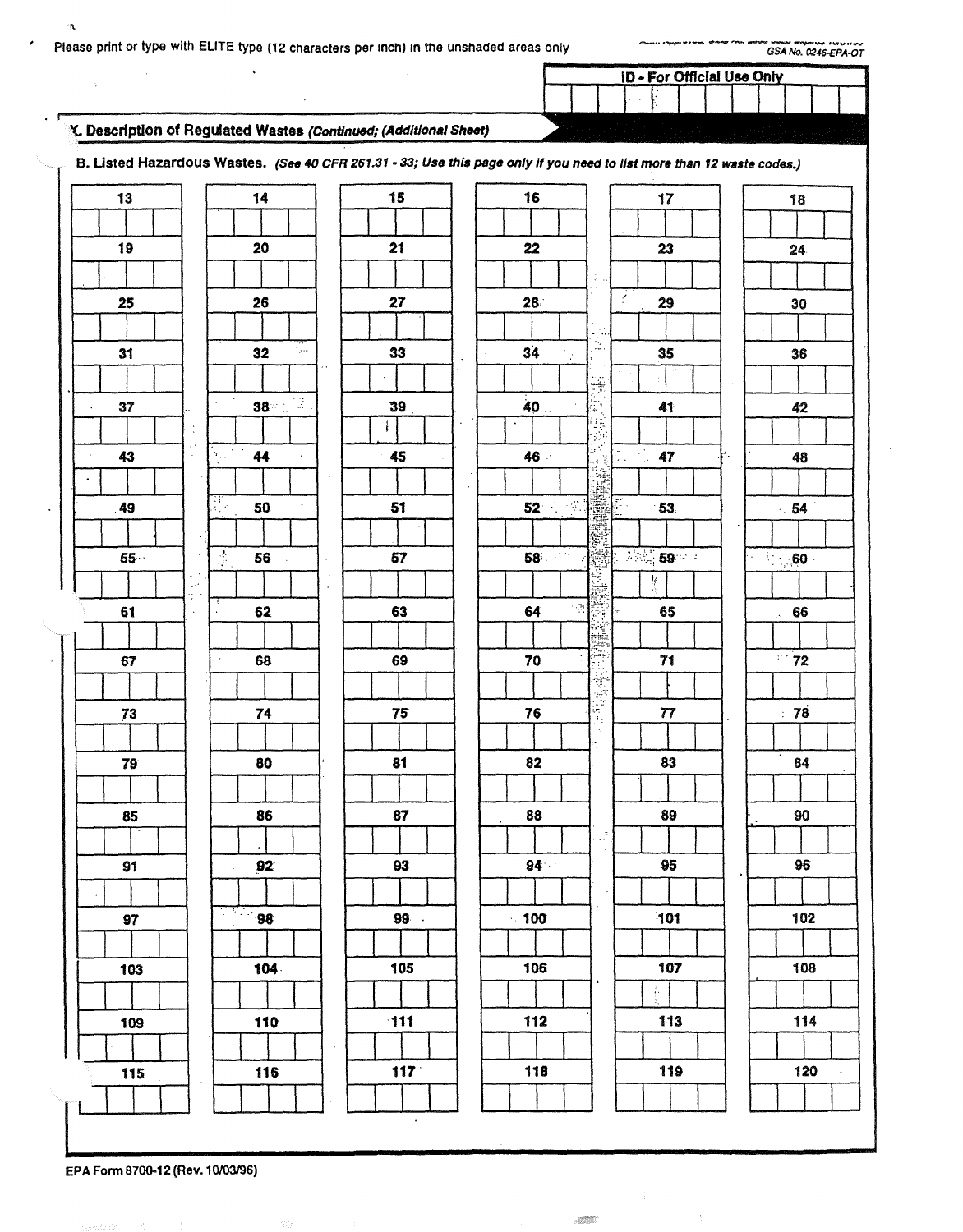$\mathcal{A}$ 

ID - For Official Use Only  $\bar{z}$ 

÷

 $\sim$ 

#### Y. Description of Regulated Wastes (Continued; (Additional Sheet)

 $\ddot{\phantom{0}}$ 

 $\tilde{\mathbf{A}}$ 

T

٠

B. Listed Hazardous Wastes. (See 40 CFR 261.31 - 33; Use this page only if you need to list more than 12 waste codes.)

| 15<br>16<br>13<br>14<br>17<br>18<br>21<br>19<br>20<br>22<br>23<br>24<br>$\mathbb{C}$ .<br>f.<br>27<br>28<br>25<br>26<br>29<br>30<br>j.<br>£ш<br>34<br>33<br>31<br>32<br>35<br>36<br>$\gamma_{\rm B}$<br>Ÿ<br>$38 - 7$<br>$\sigma_{\rm c}$ , $\sigma_{\rm c}$<br>40<br>39 <sub>1</sub><br>41<br>37<br>42<br>簿.<br>ijĝ<br>$\bullet$<br>H<br>$\ddot{\phantom{a}}$<br>$\ddot{\phantom{1}}$<br>$\begin{array}{ c c c }\n\hline\n\textbf{47} & \textbf{48} \\ \hline\n\textbf{48} & \textbf{49} \\ \hline\n\textbf{49} & \textbf{40} \\ \hline\n\textbf{41} & \textbf{42} \\ \hline\n\textbf{42} & \textbf{43} \\ \hline\n\textbf{43} & \textbf{45} \\ \hline\n\textbf{46} & \textbf{47} \\ \hline\n\textbf{47} & \textbf{48} \\ \hline\n\textbf{48} & \textbf{49} \\ \hline\n\textbf{49} & \textbf{40} \\ \hline\n\text$<br>$\sim 10^{-10}$<br>43<br>44<br>46<br>45<br>48<br>ŕ.<br>$\cdot$<br>$\sim$<br>ДV.<br>Арт<br>$-52$ $-1$<br>魔厂<br>50<br>51<br>49<br>53<br>$-54$<br><b>1990 - 1990 - 1990 - 1990 - 1990 - 1990 - 1990 - 1990 - 1990 - 1990 - 1990 - 1990 - 1990 - 1990 - 1990 - 1990</b><br>58 <sup>1</sup><br>$\gamma^L_{\rm p}$<br>57<br>$55 -$<br>56<br>$\sim$ 60 $\cdot$<br>琴<br>$\mathbb{R}^{1,2}$<br>ų.<br>т,<br>64 <sup>°</sup><br>61<br>63<br>65<br>62<br>$\sim 66$<br>$\epsilon$<br><b>NA</b><br>÷.<br>72<br>70<br>71<br>69<br>67<br>68<br>薬器師<br>76<br>77<br>78<br>75<br>73<br>74<br>i)<br>T<br>9<br>83<br>80<br>81<br>82<br>84<br>79<br>86<br>87<br>88<br>89<br>90<br>85<br>ψî<br>$\mathcal{C}$<br>$94 -$<br>95<br>96<br>92 <sup>°</sup><br>93<br>91<br>×,<br>$\overline{\phantom{0}}$ 98<br>101<br>99.<br>$-100$<br>102<br>97<br>104<br>105<br>106<br>107<br>108<br>103<br>$\bullet$<br>ř.<br>113<br>$-111$<br>112<br>114<br>110<br>109<br>119<br>117<br>118<br>120<br>116<br>115<br>$\bullet$ |  |  |  |
|--------------------------------------------------------------------------------------------------------------------------------------------------------------------------------------------------------------------------------------------------------------------------------------------------------------------------------------------------------------------------------------------------------------------------------------------------------------------------------------------------------------------------------------------------------------------------------------------------------------------------------------------------------------------------------------------------------------------------------------------------------------------------------------------------------------------------------------------------------------------------------------------------------------------------------------------------------------------------------------------------------------------------------------------------------------------------------------------------------------------------------------------------------------------------------------------------------------------------------------------------------------------------------------------------------------------------------------------------------------------------------------------------------------------------------------------------------------------------------------------------------------------------------------------------------------------------------------------------------------------------------------------------------------------------------------------------------------------------------------------------------------------------------------------------------------|--|--|--|
|                                                                                                                                                                                                                                                                                                                                                                                                                                                                                                                                                                                                                                                                                                                                                                                                                                                                                                                                                                                                                                                                                                                                                                                                                                                                                                                                                                                                                                                                                                                                                                                                                                                                                                                                                                                                              |  |  |  |
|                                                                                                                                                                                                                                                                                                                                                                                                                                                                                                                                                                                                                                                                                                                                                                                                                                                                                                                                                                                                                                                                                                                                                                                                                                                                                                                                                                                                                                                                                                                                                                                                                                                                                                                                                                                                              |  |  |  |
|                                                                                                                                                                                                                                                                                                                                                                                                                                                                                                                                                                                                                                                                                                                                                                                                                                                                                                                                                                                                                                                                                                                                                                                                                                                                                                                                                                                                                                                                                                                                                                                                                                                                                                                                                                                                              |  |  |  |
|                                                                                                                                                                                                                                                                                                                                                                                                                                                                                                                                                                                                                                                                                                                                                                                                                                                                                                                                                                                                                                                                                                                                                                                                                                                                                                                                                                                                                                                                                                                                                                                                                                                                                                                                                                                                              |  |  |  |
|                                                                                                                                                                                                                                                                                                                                                                                                                                                                                                                                                                                                                                                                                                                                                                                                                                                                                                                                                                                                                                                                                                                                                                                                                                                                                                                                                                                                                                                                                                                                                                                                                                                                                                                                                                                                              |  |  |  |
|                                                                                                                                                                                                                                                                                                                                                                                                                                                                                                                                                                                                                                                                                                                                                                                                                                                                                                                                                                                                                                                                                                                                                                                                                                                                                                                                                                                                                                                                                                                                                                                                                                                                                                                                                                                                              |  |  |  |
|                                                                                                                                                                                                                                                                                                                                                                                                                                                                                                                                                                                                                                                                                                                                                                                                                                                                                                                                                                                                                                                                                                                                                                                                                                                                                                                                                                                                                                                                                                                                                                                                                                                                                                                                                                                                              |  |  |  |
|                                                                                                                                                                                                                                                                                                                                                                                                                                                                                                                                                                                                                                                                                                                                                                                                                                                                                                                                                                                                                                                                                                                                                                                                                                                                                                                                                                                                                                                                                                                                                                                                                                                                                                                                                                                                              |  |  |  |
|                                                                                                                                                                                                                                                                                                                                                                                                                                                                                                                                                                                                                                                                                                                                                                                                                                                                                                                                                                                                                                                                                                                                                                                                                                                                                                                                                                                                                                                                                                                                                                                                                                                                                                                                                                                                              |  |  |  |
|                                                                                                                                                                                                                                                                                                                                                                                                                                                                                                                                                                                                                                                                                                                                                                                                                                                                                                                                                                                                                                                                                                                                                                                                                                                                                                                                                                                                                                                                                                                                                                                                                                                                                                                                                                                                              |  |  |  |
|                                                                                                                                                                                                                                                                                                                                                                                                                                                                                                                                                                                                                                                                                                                                                                                                                                                                                                                                                                                                                                                                                                                                                                                                                                                                                                                                                                                                                                                                                                                                                                                                                                                                                                                                                                                                              |  |  |  |
|                                                                                                                                                                                                                                                                                                                                                                                                                                                                                                                                                                                                                                                                                                                                                                                                                                                                                                                                                                                                                                                                                                                                                                                                                                                                                                                                                                                                                                                                                                                                                                                                                                                                                                                                                                                                              |  |  |  |
|                                                                                                                                                                                                                                                                                                                                                                                                                                                                                                                                                                                                                                                                                                                                                                                                                                                                                                                                                                                                                                                                                                                                                                                                                                                                                                                                                                                                                                                                                                                                                                                                                                                                                                                                                                                                              |  |  |  |
|                                                                                                                                                                                                                                                                                                                                                                                                                                                                                                                                                                                                                                                                                                                                                                                                                                                                                                                                                                                                                                                                                                                                                                                                                                                                                                                                                                                                                                                                                                                                                                                                                                                                                                                                                                                                              |  |  |  |
|                                                                                                                                                                                                                                                                                                                                                                                                                                                                                                                                                                                                                                                                                                                                                                                                                                                                                                                                                                                                                                                                                                                                                                                                                                                                                                                                                                                                                                                                                                                                                                                                                                                                                                                                                                                                              |  |  |  |
|                                                                                                                                                                                                                                                                                                                                                                                                                                                                                                                                                                                                                                                                                                                                                                                                                                                                                                                                                                                                                                                                                                                                                                                                                                                                                                                                                                                                                                                                                                                                                                                                                                                                                                                                                                                                              |  |  |  |
|                                                                                                                                                                                                                                                                                                                                                                                                                                                                                                                                                                                                                                                                                                                                                                                                                                                                                                                                                                                                                                                                                                                                                                                                                                                                                                                                                                                                                                                                                                                                                                                                                                                                                                                                                                                                              |  |  |  |
|                                                                                                                                                                                                                                                                                                                                                                                                                                                                                                                                                                                                                                                                                                                                                                                                                                                                                                                                                                                                                                                                                                                                                                                                                                                                                                                                                                                                                                                                                                                                                                                                                                                                                                                                                                                                              |  |  |  |
|                                                                                                                                                                                                                                                                                                                                                                                                                                                                                                                                                                                                                                                                                                                                                                                                                                                                                                                                                                                                                                                                                                                                                                                                                                                                                                                                                                                                                                                                                                                                                                                                                                                                                                                                                                                                              |  |  |  |
|                                                                                                                                                                                                                                                                                                                                                                                                                                                                                                                                                                                                                                                                                                                                                                                                                                                                                                                                                                                                                                                                                                                                                                                                                                                                                                                                                                                                                                                                                                                                                                                                                                                                                                                                                                                                              |  |  |  |
|                                                                                                                                                                                                                                                                                                                                                                                                                                                                                                                                                                                                                                                                                                                                                                                                                                                                                                                                                                                                                                                                                                                                                                                                                                                                                                                                                                                                                                                                                                                                                                                                                                                                                                                                                                                                              |  |  |  |
|                                                                                                                                                                                                                                                                                                                                                                                                                                                                                                                                                                                                                                                                                                                                                                                                                                                                                                                                                                                                                                                                                                                                                                                                                                                                                                                                                                                                                                                                                                                                                                                                                                                                                                                                                                                                              |  |  |  |
|                                                                                                                                                                                                                                                                                                                                                                                                                                                                                                                                                                                                                                                                                                                                                                                                                                                                                                                                                                                                                                                                                                                                                                                                                                                                                                                                                                                                                                                                                                                                                                                                                                                                                                                                                                                                              |  |  |  |
|                                                                                                                                                                                                                                                                                                                                                                                                                                                                                                                                                                                                                                                                                                                                                                                                                                                                                                                                                                                                                                                                                                                                                                                                                                                                                                                                                                                                                                                                                                                                                                                                                                                                                                                                                                                                              |  |  |  |
|                                                                                                                                                                                                                                                                                                                                                                                                                                                                                                                                                                                                                                                                                                                                                                                                                                                                                                                                                                                                                                                                                                                                                                                                                                                                                                                                                                                                                                                                                                                                                                                                                                                                                                                                                                                                              |  |  |  |
|                                                                                                                                                                                                                                                                                                                                                                                                                                                                                                                                                                                                                                                                                                                                                                                                                                                                                                                                                                                                                                                                                                                                                                                                                                                                                                                                                                                                                                                                                                                                                                                                                                                                                                                                                                                                              |  |  |  |
|                                                                                                                                                                                                                                                                                                                                                                                                                                                                                                                                                                                                                                                                                                                                                                                                                                                                                                                                                                                                                                                                                                                                                                                                                                                                                                                                                                                                                                                                                                                                                                                                                                                                                                                                                                                                              |  |  |  |
|                                                                                                                                                                                                                                                                                                                                                                                                                                                                                                                                                                                                                                                                                                                                                                                                                                                                                                                                                                                                                                                                                                                                                                                                                                                                                                                                                                                                                                                                                                                                                                                                                                                                                                                                                                                                              |  |  |  |
|                                                                                                                                                                                                                                                                                                                                                                                                                                                                                                                                                                                                                                                                                                                                                                                                                                                                                                                                                                                                                                                                                                                                                                                                                                                                                                                                                                                                                                                                                                                                                                                                                                                                                                                                                                                                              |  |  |  |
|                                                                                                                                                                                                                                                                                                                                                                                                                                                                                                                                                                                                                                                                                                                                                                                                                                                                                                                                                                                                                                                                                                                                                                                                                                                                                                                                                                                                                                                                                                                                                                                                                                                                                                                                                                                                              |  |  |  |
|                                                                                                                                                                                                                                                                                                                                                                                                                                                                                                                                                                                                                                                                                                                                                                                                                                                                                                                                                                                                                                                                                                                                                                                                                                                                                                                                                                                                                                                                                                                                                                                                                                                                                                                                                                                                              |  |  |  |
|                                                                                                                                                                                                                                                                                                                                                                                                                                                                                                                                                                                                                                                                                                                                                                                                                                                                                                                                                                                                                                                                                                                                                                                                                                                                                                                                                                                                                                                                                                                                                                                                                                                                                                                                                                                                              |  |  |  |
|                                                                                                                                                                                                                                                                                                                                                                                                                                                                                                                                                                                                                                                                                                                                                                                                                                                                                                                                                                                                                                                                                                                                                                                                                                                                                                                                                                                                                                                                                                                                                                                                                                                                                                                                                                                                              |  |  |  |
|                                                                                                                                                                                                                                                                                                                                                                                                                                                                                                                                                                                                                                                                                                                                                                                                                                                                                                                                                                                                                                                                                                                                                                                                                                                                                                                                                                                                                                                                                                                                                                                                                                                                                                                                                                                                              |  |  |  |
|                                                                                                                                                                                                                                                                                                                                                                                                                                                                                                                                                                                                                                                                                                                                                                                                                                                                                                                                                                                                                                                                                                                                                                                                                                                                                                                                                                                                                                                                                                                                                                                                                                                                                                                                                                                                              |  |  |  |
|                                                                                                                                                                                                                                                                                                                                                                                                                                                                                                                                                                                                                                                                                                                                                                                                                                                                                                                                                                                                                                                                                                                                                                                                                                                                                                                                                                                                                                                                                                                                                                                                                                                                                                                                                                                                              |  |  |  |
|                                                                                                                                                                                                                                                                                                                                                                                                                                                                                                                                                                                                                                                                                                                                                                                                                                                                                                                                                                                                                                                                                                                                                                                                                                                                                                                                                                                                                                                                                                                                                                                                                                                                                                                                                                                                              |  |  |  |

EPA Form 8700-12 (Rev. 10/03/96)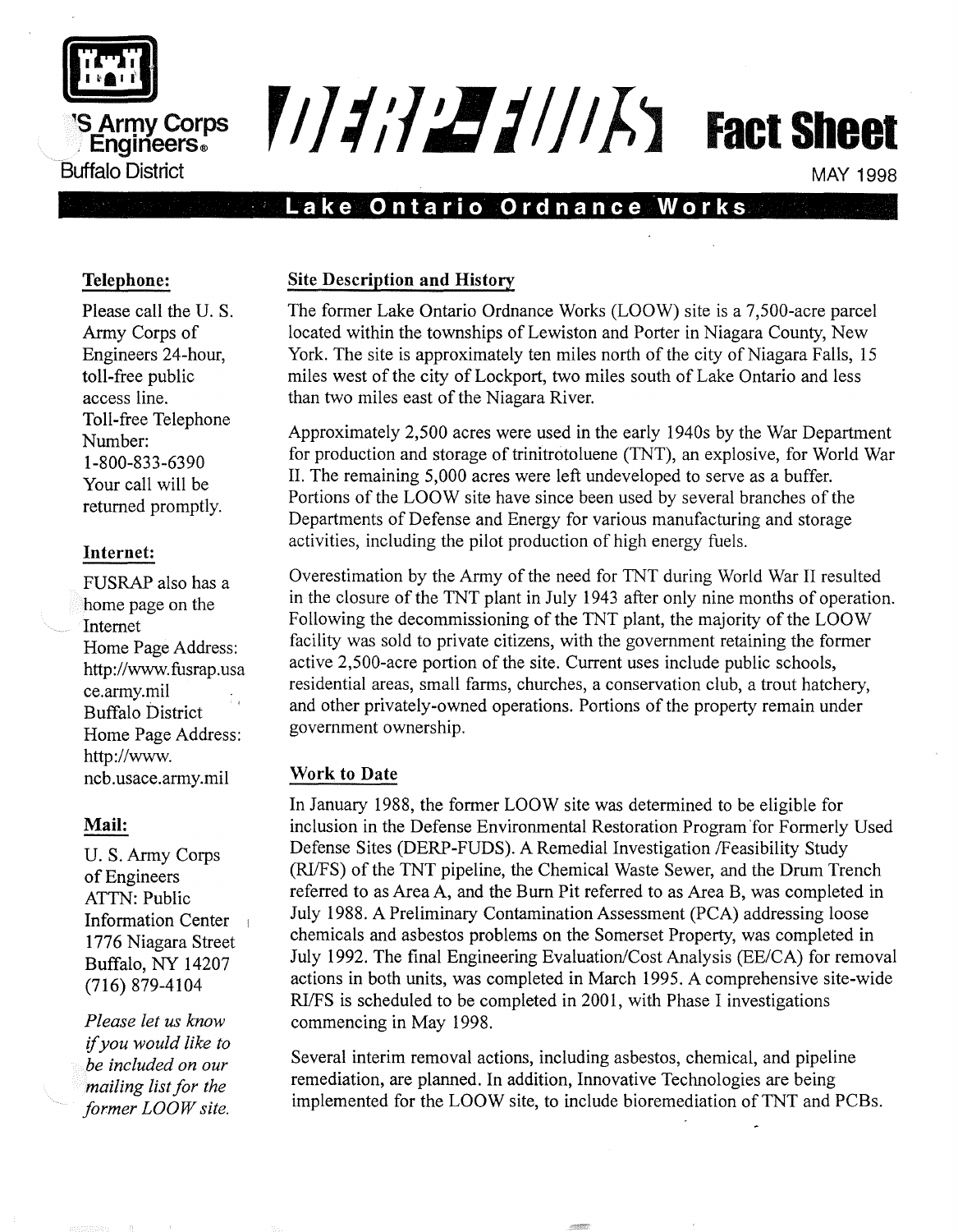

## **'s Arrpy Corps** . **Englneers® Buffalo District**

# $\frac{F}{d}$  $\frac{F}{d}$  $\frac{F}{d}$  $\frac{F}{d}$  $\frac{F}{d}$  $\frac{F}{d}$  Fact Sheet

#### MAY 1998

### . **Lake Ontario Ordnance Works**

#### **Telephone:**

Please call the U. S. Army Corps of Engineers 24-hour, toll-free public access line. Toll-free Telephone Number: 1-800-833-6390 Your call will be returned promptly.

#### **Internet:**

FUSRAP also has a home page on the Internet Home Page Address: http://www.fusrap.usa ce.army.mil Buffalo District Home Page Address: http://www. ncb.usace.army.mil

#### **Mail:**

U. S. Army Corps of Engineers ATTN: Public Information Center 1776 Niagara Street Buffalo, NY 14207 (716) 879-4104

*Please let us know*  if *you would like to be included on our mailing list for the former LOOW site.* 

#### **Site Description and History**

The former Lake Ontario Ordnance Works (LOOW) site is a 7,500-acre parcel located within the townships of Lewiston and Porter in Niagara County, New York. The site is approximately ten miles north of the city of Niagara Falls, 15 miles west of the city of Lockport, two miles south of Lake Ontario and less than two miles east of the Niagara River.

Approximately 2,500 acres were used in the early 1940s by the War Department for production and storage of trinitrotoluene (TNT), an explosive, for World War II. The remaining 5,000 acres were left undeveloped to serve as a buffer. Portions of the LOOW site have since been used by several branches of the Departments of Defense and Energy for various manufacturing and storage activities, including the pilot production of high energy fuels.

Overestimation by the Army of the need for TNT during World War II resulted in the closure of the TNT plant in July 1943 after only nine months of operation. Following the decommissioning of the TNT plant, the majority of the LOOW facility was sold to private citizens, with the government retaining the former active 2,500-acre portion of the site. Current uses include public schools, residential areas, small farms, churches, a conservation club, a trout hatchery, and other privately-owned operations. Portions of the property remain under government ownership.

#### **Work to Date**

In January 1988, the former LOOW site was determined to be eligible for inclusion in the Defense Environmental Restoration Program 'for Formerly Used Defense Sites (DERP-FUDS). A Remedial Investigation /Feasibility Study (RI/FS) of the TNT pipeline, the Chemical Waste Sewer, and the Drum Trench referred to as Area A, and the Burn Pit referred to as Area B, was completed in July 1988. A Preliminary Contamination Assessment (PCA) addressing loose chemicals and asbestos problems on the Somerset Property, was completed in July 1992. The final Engineering Evaluation/Cost Analysis (EE/CA) for removal actions in both units, was completed in March 1995. A comprehensive site-wide RIfFS is scheduled to be completed in 2001, with Phase I investigations commencing in May 1998.

Several interim removal actions, including asbestos, chemical, and pipeline remediation, are planned. In addition, Innovative Technologies are being implemented for the LOOW site, to include bioremediation of TNT and PCBs.